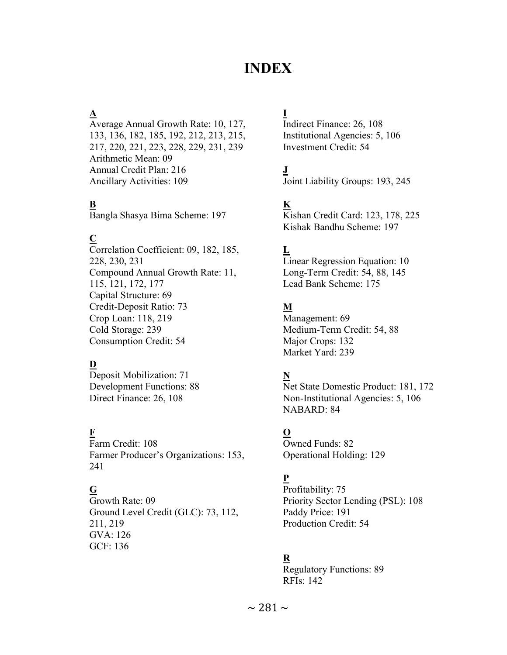# INDEX

# $\Delta$

Average Annual Growth Rate: 10, 127, 133, 136, 182, 185, 192, 212, 213, 215, 217, 220, 221, 223, 228, 229, 231, 239 Arithmetic Mean: 09 Annual Credit Plan: 216 Ancillary Activities: 109

# $\overline{\mathbf{R}}$

Bangla Shasya Bima Scheme: 197

# $\overline{\mathbf{C}}$

Correlation Coefficient: 09, 182, 185, 228, 230, 231 Compound Annual Growth Rate: 11, 115, 121, 172, 177 Capital Structure: 69 Credit-Deposit Ratio: 73 Crop Loan: 118, 219 Cold Storage: 239 Consumption Credit: 54

# $\overline{\mathbf{D}}$

Deposit Mobilization: 71 Development Functions: 88 Direct Finance: 26, 108

#### F

Farm Credit: 108 Farmer Producer's Organizations: 153, 241

# $\overline{G}$

Growth Rate: 09 Ground Level Credit (GLC): 73, 112, 211, 219 GVA: 126 GCF: 136

# I

Indirect Finance: 26, 108 Institutional Agencies: 5, 106 Investment Credit: 54

# J

Joint Liability Groups: 193, 245

# $\overline{\mathbf{K}}$

Kishan Credit Card: 123, 178, 225 Kishak Bandhu Scheme: 197

# $\overline{\mathbf{L}}$

Linear Regression Equation: 10 Long-Term Credit: 54, 88, 145 Lead Bank Scheme: 175

#### M

Management: 69 Medium-Term Credit: 54, 88 Major Crops: 132 Market Yard: 239

#### N

Net State Domestic Product: 181, 172 Non-Institutional Agencies: 5, 106 NABARD: 84

#### O

Owned Funds: 82 Operational Holding: 129

#### P

Profitability: 75 Priority Sector Lending (PSL): 108 Paddy Price: 191 Production Credit: 54

#### R

Regulatory Functions: 89 RFIs: 142